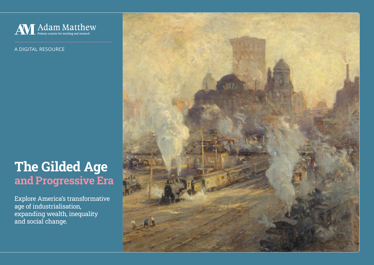

A DIGITAL RESOURCE

# The Gilded Age and Progressive Era

Explore America's transformative age of industrialisation, expanding wealth, inequality and social change.